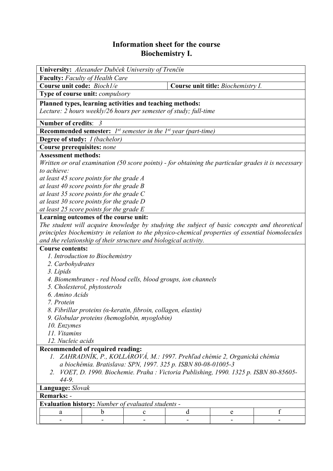## **Information sheet for the course Biochemistry I.**

| University: Alexander Dubček University of Trenčín                                                  |             |   |   |                                    |   |
|-----------------------------------------------------------------------------------------------------|-------------|---|---|------------------------------------|---|
| <b>Faculty:</b> Faculty of Health Care                                                              |             |   |   |                                    |   |
| Course unit code: Bioch1/e                                                                          |             |   |   | Course unit title: Biochemistry I. |   |
| Type of course unit: <i>compulsory</i>                                                              |             |   |   |                                    |   |
| Planned types, learning activities and teaching methods:                                            |             |   |   |                                    |   |
| Lecture: 2 hours weekly/26 hours per semester of study; full-time                                   |             |   |   |                                    |   |
|                                                                                                     |             |   |   |                                    |   |
| Number of credits: 3                                                                                |             |   |   |                                    |   |
| <b>Recommended semester:</b> $I^{st}$ semester in the $I^{st}$ year (part-time)                     |             |   |   |                                    |   |
| Degree of study: <i>I (bachelor)</i>                                                                |             |   |   |                                    |   |
| Course prerequisites: none                                                                          |             |   |   |                                    |   |
| <b>Assessment methods:</b>                                                                          |             |   |   |                                    |   |
| Written or oral examination (50 score points) - for obtaining the particular grades it is necessary |             |   |   |                                    |   |
| to achieve:                                                                                         |             |   |   |                                    |   |
| at least 45 score points for the grade A                                                            |             |   |   |                                    |   |
| at least 40 score points for the grade B                                                            |             |   |   |                                    |   |
| at least 35 score points for the grade $C$                                                          |             |   |   |                                    |   |
| at least 30 score points for the grade D                                                            |             |   |   |                                    |   |
| at least 25 score points for the grade $E$                                                          |             |   |   |                                    |   |
| Learning outcomes of the course unit:                                                               |             |   |   |                                    |   |
| The student will acquire knowledge by studying the subject of basic concepts and theoretical        |             |   |   |                                    |   |
| principles biochemistry in relation to the physico-chemical properties of essential biomolecules    |             |   |   |                                    |   |
| and the relationship of their structure and biological activity.                                    |             |   |   |                                    |   |
| <b>Course contents:</b>                                                                             |             |   |   |                                    |   |
| 1. Introduction to Biochemistry                                                                     |             |   |   |                                    |   |
| 2. Carbohydrates                                                                                    |             |   |   |                                    |   |
| 3. Lipids                                                                                           |             |   |   |                                    |   |
| 4. Biomembranes - red blood cells, blood groups, ion channels                                       |             |   |   |                                    |   |
| 5. Cholesterol, phytosterols                                                                        |             |   |   |                                    |   |
| 6. Amino Acids                                                                                      |             |   |   |                                    |   |
| 7. Protein                                                                                          |             |   |   |                                    |   |
| 8. Fibrillar proteins (a-keratin, fibroin, collagen, elastin)                                       |             |   |   |                                    |   |
| 9. Globular proteins (hemoglobin, myoglobin)                                                        |             |   |   |                                    |   |
| 10. Enzymes                                                                                         |             |   |   |                                    |   |
| 11. Vitamins                                                                                        |             |   |   |                                    |   |
| 12. Nucleic acids                                                                                   |             |   |   |                                    |   |
| Recommended of required reading:                                                                    |             |   |   |                                    |   |
| 1. ZAHRADNÍK, P., KOLLÁROVÁ, M.: 1997. Prehľad chémie 2, Organická chémia                           |             |   |   |                                    |   |
| a biochémia. Bratislava: SPN, 1997. 325 p. ISBN 80-08-01005-3                                       |             |   |   |                                    |   |
| VOET, D. 1990. Biochemie. Praha : Victoria Publishing, 1990. 1325 p. ISBN 80-85605-<br>2.           |             |   |   |                                    |   |
| $44-9.$                                                                                             |             |   |   |                                    |   |
| Language: Slovak                                                                                    |             |   |   |                                    |   |
| <b>Remarks: -</b>                                                                                   |             |   |   |                                    |   |
|                                                                                                     |             |   |   |                                    |   |
| Evaluation history: Number of evaluated students -                                                  |             |   |   |                                    |   |
| a                                                                                                   | $\mathbf b$ | c | d | e                                  | f |
|                                                                                                     |             |   |   |                                    |   |